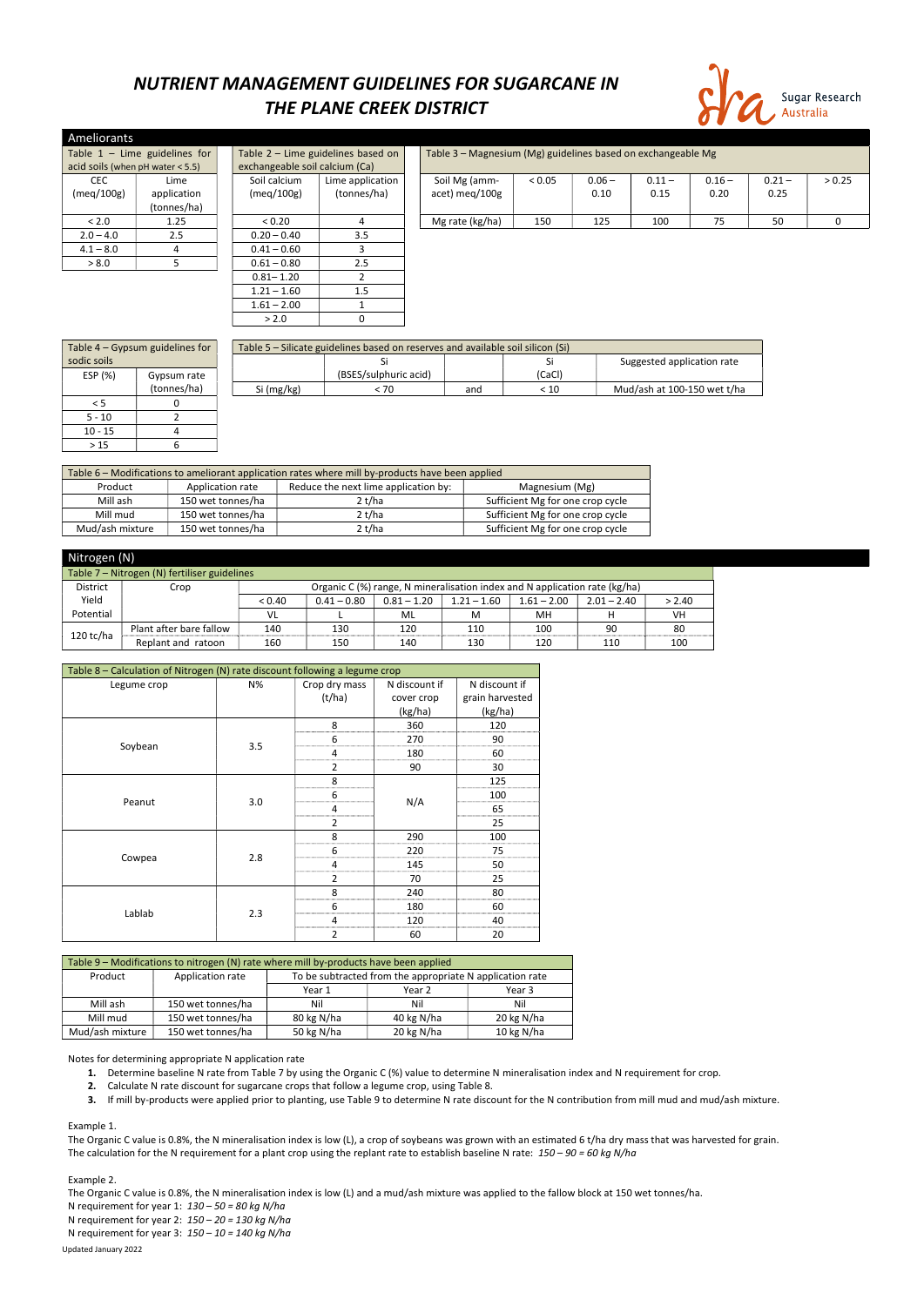## NUTRIENT MANAGEMENT GUIDELINES FOR SUGARCANE IN THE PLANE CREEK DISTRICT



| Ameliorants                        |                                 |                                |                                      |  |                                                              |        |          |          |          |          |        |  |  |
|------------------------------------|---------------------------------|--------------------------------|--------------------------------------|--|--------------------------------------------------------------|--------|----------|----------|----------|----------|--------|--|--|
|                                    | Table $1 -$ Lime guidelines for |                                | Table $2$ – Lime guidelines based on |  | Table 3 - Magnesium (Mg) guidelines based on exchangeable Mg |        |          |          |          |          |        |  |  |
| acid soils (when $pH$ water < 5.5) |                                 | exchangeable soil calcium (Ca) |                                      |  |                                                              |        |          |          |          |          |        |  |  |
| <b>CEC</b>                         | Lime                            | Soil calcium                   | Lime application                     |  | Soil Mg (amm-                                                | < 0.05 | $0.06 -$ | $0.11 -$ | $0.16 -$ | $0.21 -$ | > 0.25 |  |  |
| (meq/100g)                         | application                     | (meq/100g)                     | (tonnes/ha)                          |  | acet) meg/100g                                               |        | 0.10     | 0.15     | 0.20     | 0.25     |        |  |  |
|                                    | (tonnes/ha)                     |                                |                                      |  |                                                              |        |          |          |          |          |        |  |  |
| < 2.0                              | 1.25                            | < 0.20                         |                                      |  | Mg rate (kg/ha)                                              | 150    | 125      | 100      | 75       | 50       | 0      |  |  |
| $2.0 - 4.0$                        | 2.5                             | $0.20 - 0.40$                  | 3.5                                  |  |                                                              |        |          |          |          |          |        |  |  |
| $4.1 - 8.0$                        |                                 | $0.41 - 0.60$                  |                                      |  |                                                              |        |          |          |          |          |        |  |  |
| > 8.0                              |                                 | $0.61 - 0.80$                  | 2.5                                  |  |                                                              |        |          |          |          |          |        |  |  |
|                                    |                                 | $0.81 - 1.20$                  |                                      |  |                                                              |        |          |          |          |          |        |  |  |
|                                    |                                 | $1.21 - 1.60$                  | 1.5                                  |  |                                                              |        |          |          |          |          |        |  |  |
|                                    |                                 | $1.61 - 2.00$                  |                                      |  |                                                              |        |          |          |          |          |        |  |  |

| Table 4 - Gypsum guidelines for |             | Table 5 – Silicate guidelines based on reserves and available soil silicon (Si) |                       |     |        |                             |  |  |  |
|---------------------------------|-------------|---------------------------------------------------------------------------------|-----------------------|-----|--------|-----------------------------|--|--|--|
| sodic soils                     |             |                                                                                 |                       |     |        | Suggested application rate  |  |  |  |
| ESP (%)                         | Gypsum rate |                                                                                 | (BSES/sulphuric acid) |     | (CaCl) |                             |  |  |  |
|                                 | (tonnes/ha) | Si (mg/kg)                                                                      | < 70                  | and | < 10   | Mud/ash at 100-150 wet t/ha |  |  |  |
|                                 |             |                                                                                 |                       |     |        |                             |  |  |  |
| $5 - 10$                        |             |                                                                                 |                       |     |        |                             |  |  |  |
| $10 - 15$                       |             |                                                                                 |                       |     |        |                             |  |  |  |
| >15                             |             |                                                                                 |                       |     |        |                             |  |  |  |

| Table 6 – Modifications to ameliorant application rates where mill by-products have been applied |                   |                                  |                                  |  |  |  |  |
|--------------------------------------------------------------------------------------------------|-------------------|----------------------------------|----------------------------------|--|--|--|--|
| Reduce the next lime application by:<br>Product<br>Magnesium (Mg)<br>Application rate            |                   |                                  |                                  |  |  |  |  |
| Mill ash                                                                                         | 150 wet tonnes/ha | Sufficient Mg for one crop cycle |                                  |  |  |  |  |
| Mill mud                                                                                         | 150 wet tonnes/ha | 2 t/ha                           | Sufficient Mg for one crop cycle |  |  |  |  |
| Sufficient Mg for one crop cycle<br>Mud/ash mixture<br>2 t/ha<br>150 wet tonnes/ha               |                   |                                  |                                  |  |  |  |  |

 $> 2.0$  0

- 1. Determine baseline N rate from Table 7 by using the Organic C (%) value to determine N mineralisation index and N requirement for crop.
- 2. Calculate N rate discount for sugarcane crops that follow a legume crop, using Table 8.
- 3. If mill by-products were applied prior to planting, use Table 9 to determine N rate discount for the N contribution from mill mud and mud/ash mixture.

The Organic C value is 0.8%, the N mineralisation index is low (L), a crop of soybeans was grown with an estimated 6 t/ha dry mass that was harvested for grain. The calculation for the N requirement for a plant crop using the replant rate to establish baseline N rate:  $150 - 90 = 60$  kg N/ha

|                                              | Nitrogen (N)            |        |                                                                            |               |               |               |               |        |  |  |
|----------------------------------------------|-------------------------|--------|----------------------------------------------------------------------------|---------------|---------------|---------------|---------------|--------|--|--|
| Table 7 – Nitrogen (N) fertiliser guidelines |                         |        |                                                                            |               |               |               |               |        |  |  |
| <b>District</b>                              | Crop                    |        | Organic C (%) range, N mineralisation index and N application rate (kg/ha) |               |               |               |               |        |  |  |
| Yield                                        |                         | < 0.40 | $0.41 - 0.80$                                                              | $0.81 - 1.20$ | $1.21 - 1.60$ | $1.61 - 2.00$ | $2.01 - 2.40$ | > 2.40 |  |  |
| Potential                                    |                         | VL     |                                                                            | ML            | м             | MH            |               | VH     |  |  |
|                                              | Plant after bare fallow | 140    | 130                                                                        | 120           | 110           | 100           | 90            | 80     |  |  |
| $120$ tc/ha                                  | Replant and ratoon      | 160    | 150                                                                        | 140           | 130           | 120           | 110           | 100    |  |  |

| Table 8 - Calculation of Nitrogen (N) rate discount following a legume crop |     |                |               |                 |
|-----------------------------------------------------------------------------|-----|----------------|---------------|-----------------|
| Legume crop                                                                 | N%  | Crop dry mass  | N discount if | N discount if   |
|                                                                             |     | (t/ha)         | cover crop    | grain harvested |
|                                                                             |     |                | (kg/ha)       | (kg/ha)         |
|                                                                             |     | 8              | 360           | 120             |
| Soybean                                                                     | 3.5 | 6              | 270           | 90              |
|                                                                             |     | 4              | 180           | 60              |
|                                                                             |     | 2              | 90            | 30              |
|                                                                             |     | 8              |               | 125             |
|                                                                             |     | 6              |               | 100             |
| Peanut                                                                      | 3.0 | 4              | N/A           | 65              |
|                                                                             |     | $\overline{2}$ |               | 25              |
|                                                                             |     | 8              | 290           | 100             |
|                                                                             |     | 6              | 220           | 75              |
| Cowpea                                                                      | 2.8 | 4              | 145           | 50              |
|                                                                             |     | $\overline{2}$ | 70            | 25              |
|                                                                             |     | 8              | 240           | 80              |
|                                                                             |     | 6              | 180           | 60              |
| Lablab                                                                      | 2.3 | 4              | 120           | 40              |
|                                                                             |     | $\overline{2}$ | 60            | 20              |

| Table 9 – Modifications to nitrogen (N) rate where mill by-products have been applied |         |                  |                                                          |  |  |  |  |
|---------------------------------------------------------------------------------------|---------|------------------|----------------------------------------------------------|--|--|--|--|
|                                                                                       | Product | Application rate | To be subtracted from the appropriate N application rate |  |  |  |  |

|                 |                   | Year 1     | Year 2     | Year 3     |
|-----------------|-------------------|------------|------------|------------|
| Mill ash        | 150 wet tonnes/ha | Nil        | Nil        | Nil        |
| Mill mud        | 150 wet tonnes/ha | 80 kg N/ha | 40 kg N/ha | 20 kg N/ha |
| Mud/ash mixture | 150 wet tonnes/ha | 50 kg N/ha | 20 kg N/ha | 10 kg N/ha |

Notes for determining appropriate N application rate

Example 1.

Example 2.

Updated January 2022 The Organic C value is 0.8%, the N mineralisation index is low (L) and a mud/ash mixture was applied to the fallow block at 150 wet tonnes/ha. N requirement for year 1:  $130 - 50 = 80$  kg N/ha N requirement for year 2:  $150 - 20 = 130$  kg N/ha N requirement for year 3:  $150 - 10 = 140$  kg N/ha